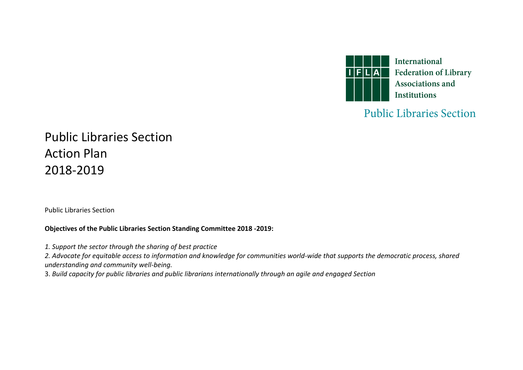

## **Public Libraries Section**

## Public Libraries Section Action Plan 2018-2019

Public Libraries Section

## **Objectives of the Public Libraries Section Standing Committee 2018 -2019:**

*1. Support the sector through the sharing of best practice* 

*2. Advocate for equitable access to information and knowledge for communities world-wide that supports the democratic process, shared understanding and community well-being.*

3. *Build capacity for public libraries and public librarians internationally through an agile and engaged Section*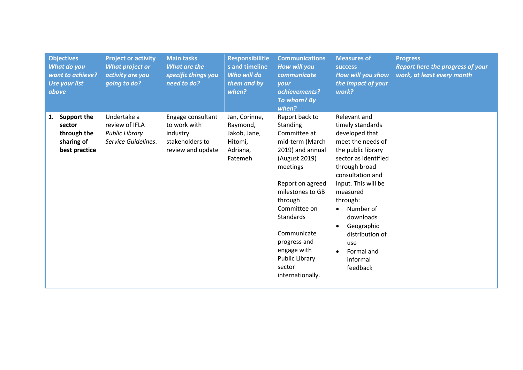|    | <b>Objectives</b><br>What do you<br>want to achieve?<br><b>Use your list</b><br>above | <b>Project or activity</b><br><b>What project or</b><br>activity are you<br>going to do? | <b>Main tasks</b><br><b>What are the</b><br>specific things you<br>need to do?        | <b>Responsibilitie</b><br>s and timeline<br>Who will do<br>them and by<br>when? | <b>Communications</b><br>How will you<br>communicate<br>your<br>achievements?<br>To whom? By<br>when?                                                                                                                                                                                               | <b>Measures of</b><br><b>SUCCESS</b><br>How will you show<br>the impact of your<br>work?                                                                                                                                                                                                                                       | <b>Progress</b><br>Report here the progress of your<br>work, at least every month |
|----|---------------------------------------------------------------------------------------|------------------------------------------------------------------------------------------|---------------------------------------------------------------------------------------|---------------------------------------------------------------------------------|-----------------------------------------------------------------------------------------------------------------------------------------------------------------------------------------------------------------------------------------------------------------------------------------------------|--------------------------------------------------------------------------------------------------------------------------------------------------------------------------------------------------------------------------------------------------------------------------------------------------------------------------------|-----------------------------------------------------------------------------------|
| 1. | <b>Support the</b><br>sector<br>through the<br>sharing of<br>best practice            | Undertake a<br>review of IFLA<br><b>Public Library</b><br>Service Guidelines.            | Engage consultant<br>to work with<br>industry<br>stakeholders to<br>review and update | Jan, Corinne,<br>Raymond,<br>Jakob, Jane,<br>Hitomi,<br>Adriana,<br>Fatemeh     | Report back to<br>Standing<br>Committee at<br>mid-term (March<br>2019) and annual<br>(August 2019)<br>meetings<br>Report on agreed<br>milestones to GB<br>through<br>Committee on<br>Standards<br>Communicate<br>progress and<br>engage with<br><b>Public Library</b><br>sector<br>internationally. | Relevant and<br>timely standards<br>developed that<br>meet the needs of<br>the public library<br>sector as identified<br>through broad<br>consultation and<br>input. This will be<br>measured<br>through:<br>Number of<br>$\bullet$<br>downloads<br>Geographic<br>distribution of<br>use<br>Formal and<br>informal<br>feedback |                                                                                   |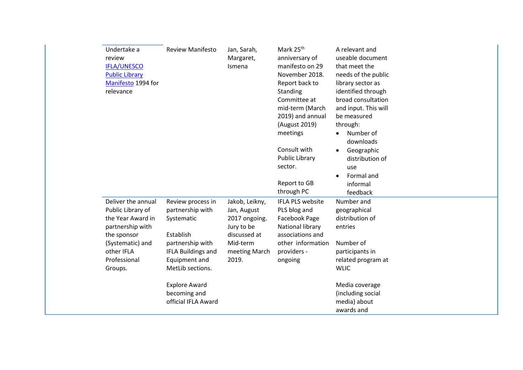| Undertake a<br>review<br><b>IFLA/UNESCO</b><br><b>Public Library</b><br>Manifesto 1994 for<br>relevance                                                      | <b>Review Manifesto</b>                                                                                                                                | Jan, Sarah,<br>Margaret,<br>Ismena                                                                                 | Mark 25 <sup>th</sup><br>anniversary of<br>manifesto on 29<br>November 2018.<br>Report back to<br>Standing<br>Committee at<br>mid-term (March<br>2019) and annual<br>(August 2019)<br>meetings<br>Consult with<br><b>Public Library</b><br>sector.<br>Report to GB<br>through PC | A relevant and<br>useable document<br>that meet the<br>needs of the public<br>library sector as<br>identified through<br>broad consultation<br>and input. This will<br>be measured<br>through:<br>Number of<br>downloads<br>Geographic<br>distribution of<br>use<br>Formal and<br>informal<br>feedback |
|--------------------------------------------------------------------------------------------------------------------------------------------------------------|--------------------------------------------------------------------------------------------------------------------------------------------------------|--------------------------------------------------------------------------------------------------------------------|----------------------------------------------------------------------------------------------------------------------------------------------------------------------------------------------------------------------------------------------------------------------------------|--------------------------------------------------------------------------------------------------------------------------------------------------------------------------------------------------------------------------------------------------------------------------------------------------------|
| Deliver the annual<br>Public Library of<br>the Year Award in<br>partnership with<br>the sponsor<br>(Systematic) and<br>other IFLA<br>Professional<br>Groups. | Review process in<br>partnership with<br>Systematic<br>Establish<br>partnership with<br><b>IFLA Buildings and</b><br>Equipment and<br>MetLib sections. | Jakob, Leikny,<br>Jan, August<br>2017 ongoing.<br>Jury to be<br>discussed at<br>Mid-term<br>meeting March<br>2019. | IFLA PLS website<br>PLS blog and<br>Facebook Page<br>National library<br>associations and<br>other information<br>providers -<br>ongoing                                                                                                                                         | Number and<br>geographical<br>distribution of<br>entries<br>Number of<br>participants in<br>related program at<br><b>WLIC</b>                                                                                                                                                                          |
|                                                                                                                                                              | <b>Explore Award</b><br>becoming and<br>official IFLA Award                                                                                            |                                                                                                                    |                                                                                                                                                                                                                                                                                  | Media coverage<br>(including social<br>media) about<br>awards and                                                                                                                                                                                                                                      |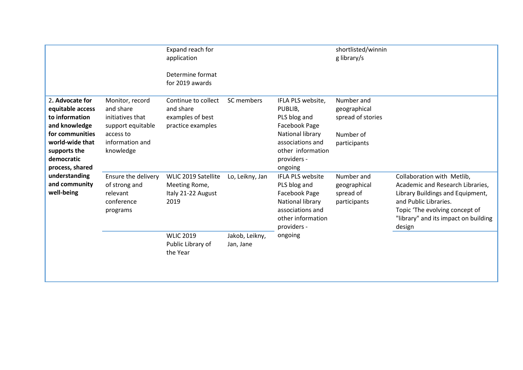|                                                                                                                                                               |                                                                                                                    | Expand reach for<br>application<br>Determine format<br>for 2019 awards    |                             |                                                                                                                                                      | shortlisted/winnin<br>g library/s                                            |                                                                                                                                                                                                                 |
|---------------------------------------------------------------------------------------------------------------------------------------------------------------|--------------------------------------------------------------------------------------------------------------------|---------------------------------------------------------------------------|-----------------------------|------------------------------------------------------------------------------------------------------------------------------------------------------|------------------------------------------------------------------------------|-----------------------------------------------------------------------------------------------------------------------------------------------------------------------------------------------------------------|
| 2. Advocate for<br>equitable access<br>to information<br>and knowledge<br>for communities<br>world-wide that<br>supports the<br>democratic<br>process, shared | Monitor, record<br>and share<br>initiatives that<br>support equitable<br>access to<br>information and<br>knowledge | Continue to collect<br>and share<br>examples of best<br>practice examples | SC members                  | IFLA PLS website,<br>PUBLIB,<br>PLS blog and<br>Facebook Page<br>National library<br>associations and<br>other information<br>providers -<br>ongoing | Number and<br>geographical<br>spread of stories<br>Number of<br>participants |                                                                                                                                                                                                                 |
| understanding<br>and community<br>well-being                                                                                                                  | Ensure the delivery<br>of strong and<br>relevant<br>conference<br>programs                                         | WLIC 2019 Satellite<br>Meeting Rome,<br>Italy 21-22 August<br>2019        | Lo, Leikny, Jan             | IFLA PLS website<br>PLS blog and<br>Facebook Page<br>National library<br>associations and<br>other information<br>providers -                        | Number and<br>geographical<br>spread of<br>participants                      | Collaboration with Metlib,<br>Academic and Research Libraries,<br>Library Buildings and Equipment,<br>and Public Libraries.<br>Topic 'The evolving concept of<br>"library" and its impact on building<br>design |
|                                                                                                                                                               |                                                                                                                    | <b>WLIC 2019</b><br>Public Library of<br>the Year                         | Jakob, Leikny,<br>Jan, Jane | ongoing                                                                                                                                              |                                                                              |                                                                                                                                                                                                                 |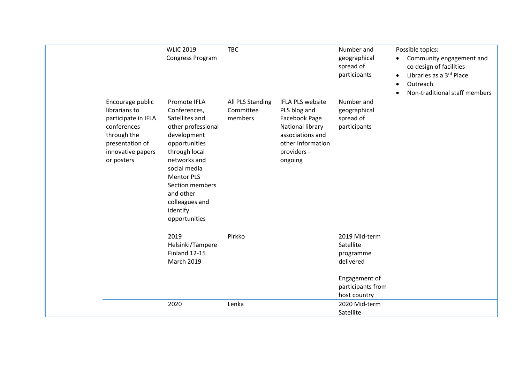|                                                                                                                                              | <b>WLIC 2019</b><br>Congress Program                                                                                                                                                                                                                      | <b>TBC</b>                               |                                                                                                                                          | Number and<br>geographical<br>spread of<br>participants               | Possible topics:<br>Community engagement and<br>co design of facilities<br>Libraries as a 3rd Place<br>Outreach<br>Non-traditional staff members |
|----------------------------------------------------------------------------------------------------------------------------------------------|-----------------------------------------------------------------------------------------------------------------------------------------------------------------------------------------------------------------------------------------------------------|------------------------------------------|------------------------------------------------------------------------------------------------------------------------------------------|-----------------------------------------------------------------------|--------------------------------------------------------------------------------------------------------------------------------------------------|
| Encourage public<br>librarians to<br>participate in IFLA<br>conferences<br>through the<br>presentation of<br>innovative papers<br>or posters | Promote IFLA<br>Conferences,<br>Satellites and<br>other professional<br>development<br>opportunities<br>through local<br>networks and<br>social media<br><b>Mentor PLS</b><br>Section members<br>and other<br>colleagues and<br>identify<br>opportunities | All PLS Standing<br>Committee<br>members | IFLA PLS website<br>PLS blog and<br>Facebook Page<br>National library<br>associations and<br>other information<br>providers -<br>ongoing | Number and<br>geographical<br>spread of<br>participants               |                                                                                                                                                  |
|                                                                                                                                              | 2019<br>Helsinki/Tampere<br>Finland 12-15<br><b>March 2019</b>                                                                                                                                                                                            | Pirkko                                   |                                                                                                                                          | 2019 Mid-term<br>Satellite<br>programme<br>delivered<br>Engagement of |                                                                                                                                                  |
|                                                                                                                                              | 2020                                                                                                                                                                                                                                                      | Lenka                                    |                                                                                                                                          | participants from<br>host country<br>2020 Mid-term<br>Satellite       |                                                                                                                                                  |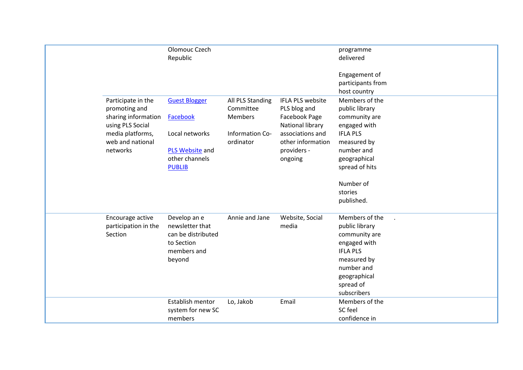|                                                                                                                                    | Olomouc Czech<br>Republic                                                                                       |                                                                                 |                                                                                                                                          | programme<br>delivered<br>Engagement of<br>participants from<br>host country                                                                                                              |
|------------------------------------------------------------------------------------------------------------------------------------|-----------------------------------------------------------------------------------------------------------------|---------------------------------------------------------------------------------|------------------------------------------------------------------------------------------------------------------------------------------|-------------------------------------------------------------------------------------------------------------------------------------------------------------------------------------------|
| Participate in the<br>promoting and<br>sharing information<br>using PLS Social<br>media platforms,<br>web and national<br>networks | <b>Guest Blogger</b><br>Facebook<br>Local networks<br><b>PLS Website and</b><br>other channels<br><b>PUBLIB</b> | All PLS Standing<br>Committee<br><b>Members</b><br>Information Co-<br>ordinator | IFLA PLS website<br>PLS blog and<br>Facebook Page<br>National library<br>associations and<br>other information<br>providers -<br>ongoing | Members of the<br>public library<br>community are<br>engaged with<br><b>IFLA PLS</b><br>measured by<br>number and<br>geographical<br>spread of hits<br>Number of<br>stories<br>published. |
| Encourage active<br>participation in the<br>Section                                                                                | Develop an e<br>newsletter that<br>can be distributed<br>to Section<br>members and<br>beyond                    | Annie and Jane                                                                  | Website, Social<br>media                                                                                                                 | Members of the<br>public library<br>community are<br>engaged with<br><b>IFLA PLS</b><br>measured by<br>number and<br>geographical<br>spread of<br>subscribers                             |
|                                                                                                                                    | Establish mentor<br>system for new SC<br>members                                                                | Lo, Jakob                                                                       | Email                                                                                                                                    | Members of the<br>SC feel<br>confidence in                                                                                                                                                |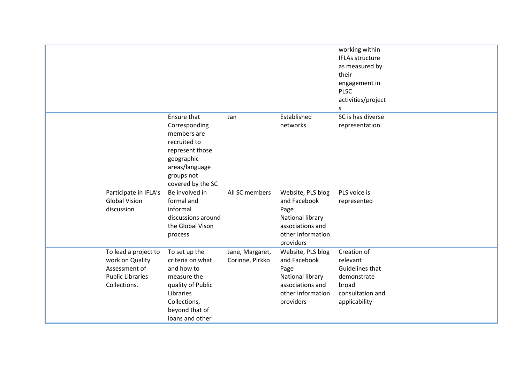|                                                                                                     |                                                                                                                                                       |                                    |                                                                                                                     | working within<br><b>IFLAs structure</b><br>as measured by<br>their<br>engagement in<br><b>PLSC</b><br>activities/project<br>s |
|-----------------------------------------------------------------------------------------------------|-------------------------------------------------------------------------------------------------------------------------------------------------------|------------------------------------|---------------------------------------------------------------------------------------------------------------------|--------------------------------------------------------------------------------------------------------------------------------|
|                                                                                                     | Ensure that<br>Corresponding<br>members are<br>recruited to<br>represent those<br>geographic<br>areas/language<br>groups not<br>covered by the SC     | Jan                                | Established<br>networks                                                                                             | SC is has diverse<br>representation.                                                                                           |
| Participate in IFLA's<br><b>Global Vision</b><br>discussion                                         | Be involved in<br>formal and<br>informal<br>discussions around<br>the Global Vison<br>process                                                         | All SC members                     | Website, PLS blog<br>and Facebook<br>Page<br>National library<br>associations and<br>other information<br>providers | PLS voice is<br>represented                                                                                                    |
| To lead a project to<br>work on Quality<br>Assessment of<br><b>Public Libraries</b><br>Collections. | To set up the<br>criteria on what<br>and how to<br>measure the<br>quality of Public<br>Libraries<br>Collections,<br>beyond that of<br>loans and other | Jane, Margaret,<br>Corinne, Pirkko | Website, PLS blog<br>and Facebook<br>Page<br>National library<br>associations and<br>other information<br>providers | Creation of<br>relevant<br>Guidelines that<br>demonstrate<br>broad<br>consultation and<br>applicability                        |